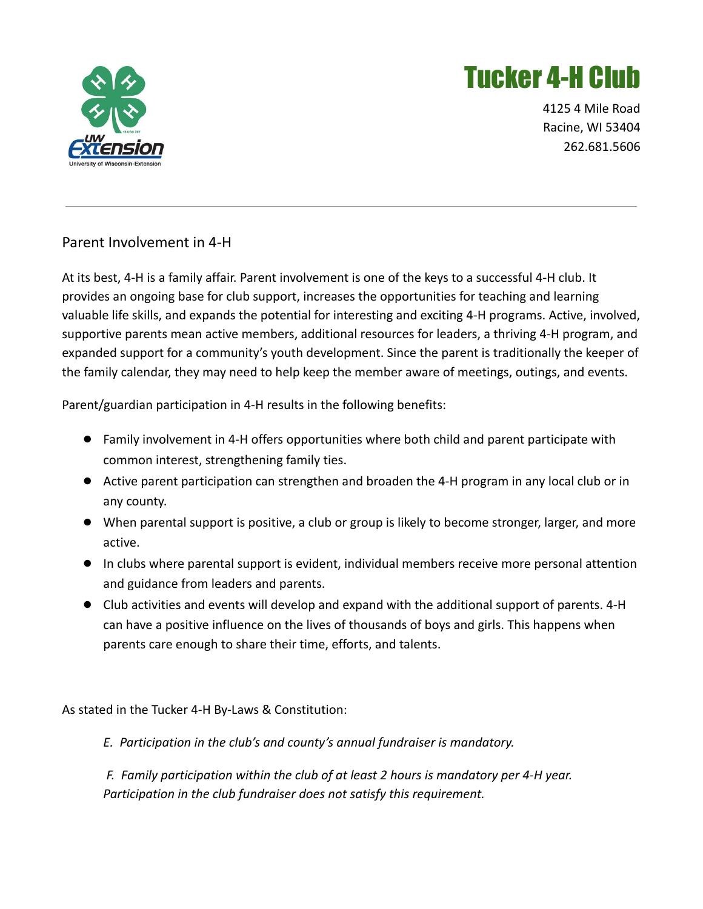

## Tucker 4-H Club

4125 4 Mile Road Racine, WI 53404 262.681.5606

## Parent Involvement in 4-H

At its best, 4-H is a family affair. Parent involvement is one of the keys to a successful 4-H club. It provides an ongoing base for club support, increases the opportunities for teaching and learning valuable life skills, and expands the potential for interesting and exciting 4-H programs. Active, involved, supportive parents mean active members, additional resources for leaders, a thriving 4-H program, and expanded support for a community's youth development. Since the parent is traditionally the keeper of the family calendar, they may need to help keep the member aware of meetings, outings, and events.

Parent/guardian participation in 4-H results in the following benefits:

- Family involvement in 4-H offers opportunities where both child and parent participate with common interest, strengthening family ties.
- Active parent participation can strengthen and broaden the 4-H program in any local club or in any county.
- When parental support is positive, a club or group is likely to become stronger, larger, and more active.
- In clubs where parental support is evident, individual members receive more personal attention and guidance from leaders and parents.
- Club activities and events will develop and expand with the additional support of parents. 4-H can have a positive influence on the lives of thousands of boys and girls. This happens when parents care enough to share their time, efforts, and talents.

As stated in the Tucker 4-H By-Laws & Constitution:

*E. Participation in the club's and county's annual fundraiser is mandatory.*

*F. Family participation within the club of at least 2 hours is mandatory per 4-H year. Participation in the club fundraiser does not satisfy this requirement.*